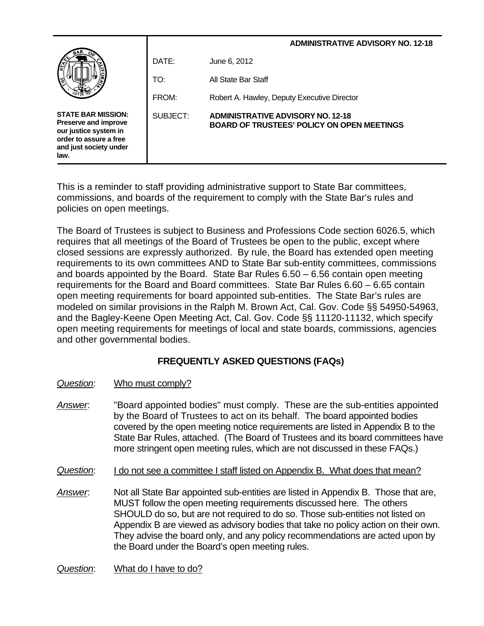| $\tilde{s}$                                                                                                                            |          | <b>ADMINISTRATIVE ADVISORY NO. 12-18</b>                                                      |
|----------------------------------------------------------------------------------------------------------------------------------------|----------|-----------------------------------------------------------------------------------------------|
|                                                                                                                                        | DATE:    | June 6, 2012                                                                                  |
|                                                                                                                                        | TO:      | All State Bar Staff                                                                           |
|                                                                                                                                        | FROM:    | Robert A. Hawley, Deputy Executive Director                                                   |
| <b>STATE BAR MISSION:</b><br>Preserve and improve<br>our justice system in<br>order to assure a free<br>and just society under<br>law. | SUBJECT: | <b>ADMINISTRATIVE ADVISORY NO. 12-18</b><br><b>BOARD OF TRUSTEES' POLICY ON OPEN MEETINGS</b> |

This is a reminder to staff providing administrative support to State Bar committees, commissions, and boards of the requirement to comply with the State Bar's rules and policies on open meetings.

The Board of Trustees is subject to Business and Professions Code section 6026.5, which requires that all meetings of the Board of Trustees be open to the public, except where closed sessions are expressly authorized. By rule, the Board has extended open meeting requirements to its own committees AND to State Bar sub-entity committees, commissions and boards appointed by the Board. State Bar Rules 6.50 – 6.56 contain open meeting requirements for the Board and Board committees. State Bar Rules 6.60 – 6.65 contain open meeting requirements for board appointed sub-entities. The State Bar's rules are modeled on similar provisions in the Ralph M. Brown Act, Cal. Gov. Code §§ 54950-54963, and the Bagley-Keene Open Meeting Act, Cal. Gov. Code §§ 11120-11132, which specify open meeting requirements for meetings of local and state boards, commissions, agencies and other governmental bodies.

# **FREQUENTLY ASKED QUESTIONS (FAQs)**

- *Question*: Who must comply?
- *Answer*: "Board appointed bodies" must comply. These are the sub-entities appointed by the Board of Trustees to act on its behalf. The board appointed bodies covered by the open meeting notice requirements are listed in Appendix B to the State Bar Rules, attached. (The Board of Trustees and its board committees have more stringent open meeting rules, which are not discussed in these FAQs.)
- *Question*: I do not see a committee I staff listed on Appendix B. What does that mean?
- *Answer*: Not all State Bar appointed sub-entities are listed in Appendix B. Those that are, MUST follow the open meeting requirements discussed here. The others SHOULD do so, but are not required to do so. Those sub-entities not listed on Appendix B are viewed as advisory bodies that take no policy action on their own. They advise the board only, and any policy recommendations are acted upon by the Board under the Board's open meeting rules.

*Question*: What do I have to do?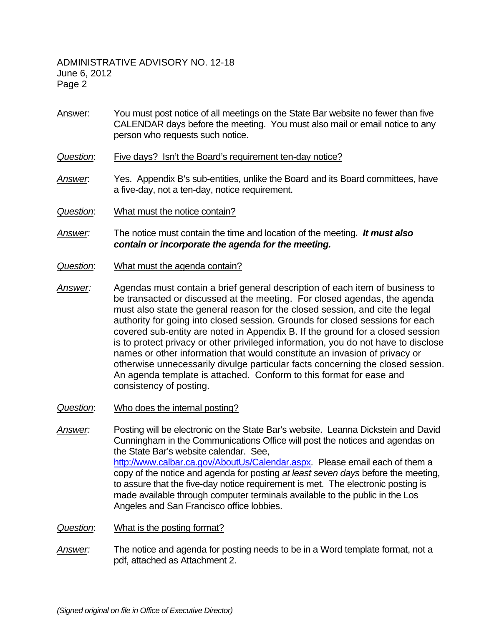- Answer: You must post notice of all meetings on the State Bar website no fewer than five CALENDAR days before the meeting. You must also mail or email notice to any person who requests such notice.
- *Question*: Five days? Isn't the Board's requirement ten-day notice?
- *Answer*: Yes. Appendix B's sub-entities, unlike the Board and its Board committees, have a five-day, not a ten-day, notice requirement.
- *Question*: What must the notice contain?
- *Answer:* The notice must contain the time and location of the meeting*. It must also contain or incorporate the agenda for the meeting.*
- *Question*: What must the agenda contain?
- Exercised sub-entity are noted in Appendix B. If the ground for a closed session is to protect privacy or other privileged information, you do not have to disclose names or other information that would constitute an invasi *Answer:* Agendas must contain a brief general description of each item of business to be transacted or discussed at the meeting. For closed agendas, the agenda must also state the general reason for the closed session, and cite the legal authority for going into closed session. Grounds for closed sessions for each is to protect privacy or other privileged information, you do not have to disclose names or other information that would constitute an invasion of privacy or otherwise unnecessarily divulge particular facts concerning the closed session. An agenda template is attached. Conform to this format for ease and consistency of posting.
- *Question*: Who does the internal posting?
- *Answer:* Posting will be electronic on the State Bar's website. Leanna Dickstein and David Cunningham in the Communications Office will post the notices and agendas on the State Bar's website calendar. See, http://www.calbar.ca.gov/AboutUs/Calendar.aspx. Please email each of them a copy of the notice and agenda for posting *at least seven days* before the meeting, to assure that the five-day notice requirement is met. The electronic posting is made available through computer terminals available to the public in the Los Angeles and San Francisco office lobbies.
- *Question*: What is the posting format?
- *Answer:* The notice and agenda for posting needs to be in a Word template format, not a pdf, attached as Attachment 2.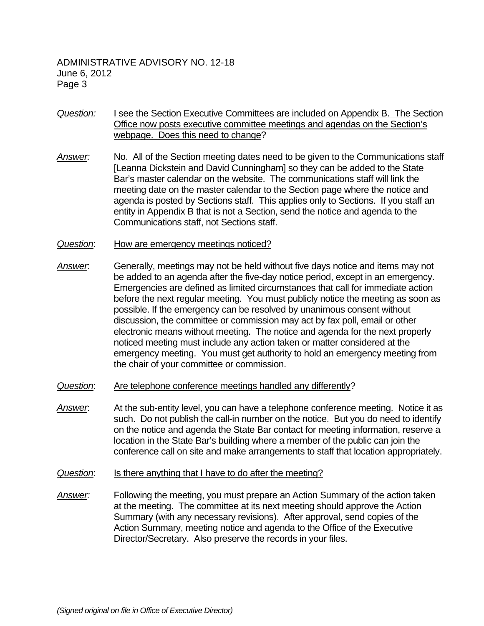- *Question:* I see the Section Executive Committees are included on Appendix B. The Section Office now posts executive committee meetings and agendas on the Section's webpage. Does this need to change?
- *Answer:* No. All of the Section meeting dates need to be given to the Communications staff [Leanna Dickstein and David Cunningham] so they can be added to the State Bar's master calendar on the website. The communications staff will link the meeting date on the master calendar to the Section page where the notice and agenda is posted by Sections staff. This applies only to Sections. If you staff an entity in Appendix B that is not a Section, send the notice and agenda to the Communications staff, not Sections staff.
- *Question*: How are emergency meetings noticed?
- discussion, the committee of commission may act by fax poli, entail of other<br>electronic means without meeting. The notice and agenda for the next properly<br>noticed meeting must include any action taken or matter considered *Answer*: Generally, meetings may not be held without five days notice and items may not be added to an agenda after the five-day notice period, except in an emergency. Emergencies are defined as limited circumstances that call for immediate action before the next regular meeting. You must publicly notice the meeting as soon as possible. If the emergency can be resolved by unanimous consent without discussion, the committee or commission may act by fax poll, email or other noticed meeting must include any action taken or matter considered at the emergency meeting. You must get authority to hold an emergency meeting from the chair of your committee or commission.
- *Question*: Are telephone conference meetings handled any differently?
- *Answer*: At the sub-entity level, you can have a telephone conference meeting. Notice it as such. Do not publish the call-in number on the notice. But you do need to identify on the notice and agenda the State Bar contact for meeting information, reserve a location in the State Bar's building where a member of the public can join the conference call on site and make arrangements to staff that location appropriately.
- *Question*: Is there anything that I have to do after the meeting?
- *Answer:* Following the meeting, you must prepare an Action Summary of the action taken at the meeting. The committee at its next meeting should approve the Action Summary (with any necessary revisions). After approval, send copies of the Action Summary, meeting notice and agenda to the Office of the Executive Director/Secretary. Also preserve the records in your files.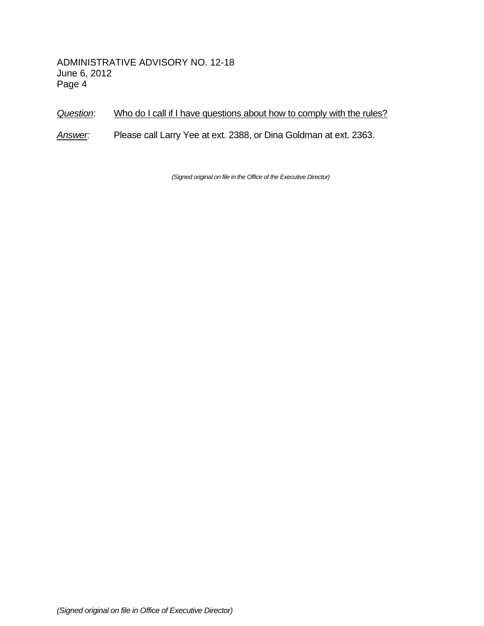### *Question*: Who do I call if I have questions about how to comply with the rules?

*Answer:* Please call Larry Yee at ext. 2388, or Dina Goldman at ext. 2363.

*(Signed original on file in the Office of the Executive Director)*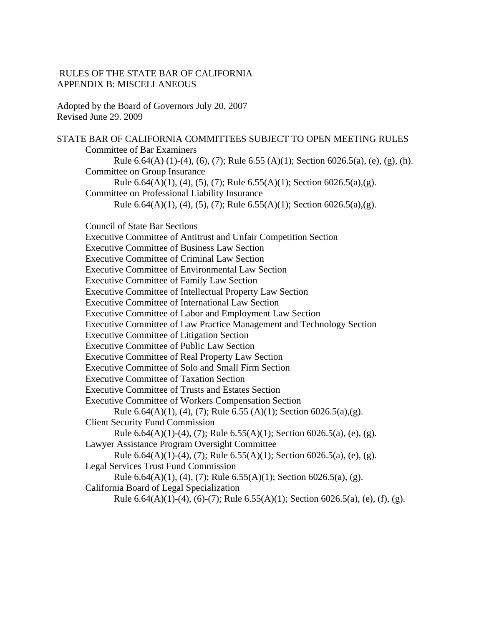### RULES OF THE STATE BAR OF CALIFORNIA APPENDIX B: MISCELLANEOUS

Adopted by the Board of Governors July 20, 2007 Revised June 29. 2009

STATE BAR OF CALIFORNIA COMMITTEES SUBJECT TO OPEN MEETING RULES Committee of Bar Examiners Rule 6.64(A) (1)-(4), (6), (7); Rule 6.55 (A)(1); Section 6026.5(a), (e), (g), (h). Committee on Group Insurance Rule 6.64(A)(1), (4), (5), (7); Rule 6.55(A)(1); Section 6026.5(a),(g). Committee on Professional Liability Insurance Rule 6.64(A)(1), (4), (5), (7); Rule 6.55(A)(1); Section 6026.5(a),(g). Council of State Bar Sections Executive Committee of Antitrust and Unfair Competition Section Executive Committee of Business Law Section Executive Committee of Criminal Law Section Executive Committee of Environmental Law Section Executive Committee of Family Law Section Executive Committee of Intellectual Property Law Section Executive Committee of International Law Section Executive Committee of Labor and Employment Law Section Executive Committee of Law Practice Management and Technology Section Executive Committee of Litigation Section Executive Committee of Public Law Section

Executive Committee of Real Property Law Section

Executive Committee of Solo and Small Firm Section

Executive Committee of Taxation Section

Executive Committee of Trusts and Estates Section

Executive Committee of Workers Compensation Section

```
Rule 6.64(A)(1), (4), (7); Rule 6.55 (A)(1); Section 6026.5(a),(g).
```
Client Security Fund Commission

```
Rule 6.64(A)(1)-(4), (7); Rule 6.55(A)(1); Section 6026.5(a), (e), (g).
```
Lawyer Assistance Program Oversight Committee

Rule  $6.64(A)(1)-(4)$ ,  $(7)$ ; Rule  $6.55(A)(1)$ ; Section  $6026.5(a)$ ,  $(e)$ ,  $(g)$ .

Legal Services Trust Fund Commission

Rule 6.64(A)(1), (4), (7); Rule 6.55(A)(1); Section 6026.5(a), (g).

California Board of Legal Specialization

Rule 6.64(A)(1)-(4), (6)-(7); Rule 6.55(A)(1); Section 6026.5(a), (e), (f), (g).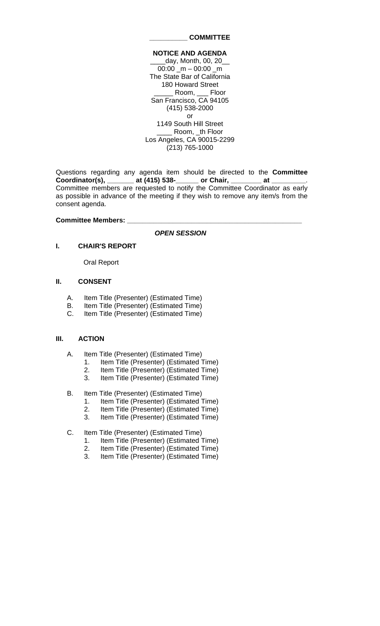#### **\_\_\_\_\_\_\_\_\_\_ COMMITTEE**

#### **NOTICE AND AGENDA**

day, Month, 00, 20 00:00  $m - 00:00$  m The State Bar of California 180 Howard Street \_\_\_\_\_ Room, \_\_\_ Floor San Francisco, CA 94105 (415) 538-2000 or 1149 South Hill Street \_\_\_\_ Room, \_th Floor Los Angeles, CA 90015-2299 (213) 765-1000

Questions regarding any agenda item should be directed to the **Committee**  Coordinator(s), \_\_\_\_\_\_\_ at (415) 538-\_\_\_\_\_\_ or Chair, \_\_\_\_\_\_ Committee members are requested to notify the Committee Coordinator as early as possible in advance of the meeting if they wish to remove any item/s from the consent agenda.

#### **Committee Members: \_\_\_\_\_\_\_\_\_\_\_\_\_\_\_\_\_\_\_\_\_\_\_\_\_\_\_\_\_\_\_\_\_\_\_\_\_\_\_\_\_\_\_\_\_\_**

*OPEN SESSION*

#### **I. CHAIR'S REPORT**

Oral Report

#### **II. CONSENT**

- A. Item Title (Presenter) (Estimated Time)
- B. Item Title (Presenter) (Estimated Time)
- C. Item Title (Presenter) (Estimated Time)

#### **III. ACTION**

- A. Item Title (Presenter) (Estimated Time)
	- 1. Item Title (Presenter) (Estimated Time)
	- 2. Item Title (Presenter) (Estimated Time)
	- 3. Item Title (Presenter) (Estimated Time)
- B. Item Title (Presenter) (Estimated Time)
	- 1. Item Title (Presenter) (Estimated Time)
	- 2. Item Title (Presenter) (Estimated Time)
	- 3. Item Title (Presenter) (Estimated Time)
- C. Item Title (Presenter) (Estimated Time)
	- 1. Item Title (Presenter) (Estimated Time)
	- 2. Item Title (Presenter) (Estimated Time)
	- 3. Item Title (Presenter) (Estimated Time)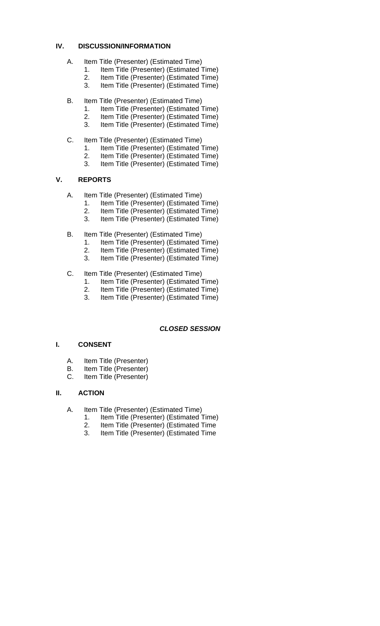### **IV. DISCUSSION/INFORMATION**

- A. Item Title (Presenter) (Estimated Time)
	- 1. Item Title (Presenter) (Estimated Time)
	- 2. Item Title (Presenter) (Estimated Time)
	- 3. Item Title (Presenter) (Estimated Time)
- B. Item Title (Presenter) (Estimated Time)
	- 1. Item Title (Presenter) (Estimated Time)
	- 2. Item Title (Presenter) (Estimated Time)
	- 3. Item Title (Presenter) (Estimated Time)
- C. Item Title (Presenter) (Estimated Time)
	- 1. Item Title (Presenter) (Estimated Time)
	- 2. Item Title (Presenter) (Estimated Time)
	- 3. Item Title (Presenter) (Estimated Time)

### **V. REPORTS**

- A. Item Title (Presenter) (Estimated Time)
	- 1. Item Title (Presenter) (Estimated Time)
	- 2. Item Title (Presenter) (Estimated Time)
	- 3. Item Title (Presenter) (Estimated Time)
- B. Item Title (Presenter) (Estimated Time)
	- 1. Item Title (Presenter) (Estimated Time)
	- 2. Item Title (Presenter) (Estimated Time)<br>3. Item Title (Presenter) (Estimated Time)
	- Item Title (Presenter) (Estimated Time)
- C. Item Title (Presenter) (Estimated Time)
	- 1. Item Title (Presenter) (Estimated Time)
	- 2. Item Title (Presenter) (Estimated Time)
	- 3. Item Title (Presenter) (Estimated Time)

### *CLOSED SESSION*

### **I. CONSENT**

- A. Item Title (Presenter)
- B. Item Title (Presenter)
- C. Item Title (Presenter)

#### **II. ACTION**

- A. Item Title (Presenter) (Estimated Time)
	- 1. Item Title (Presenter) (Estimated Time)
	- 2. Item Title (Presenter) (Estimated Time
	- 3. Item Title (Presenter) (Estimated Time